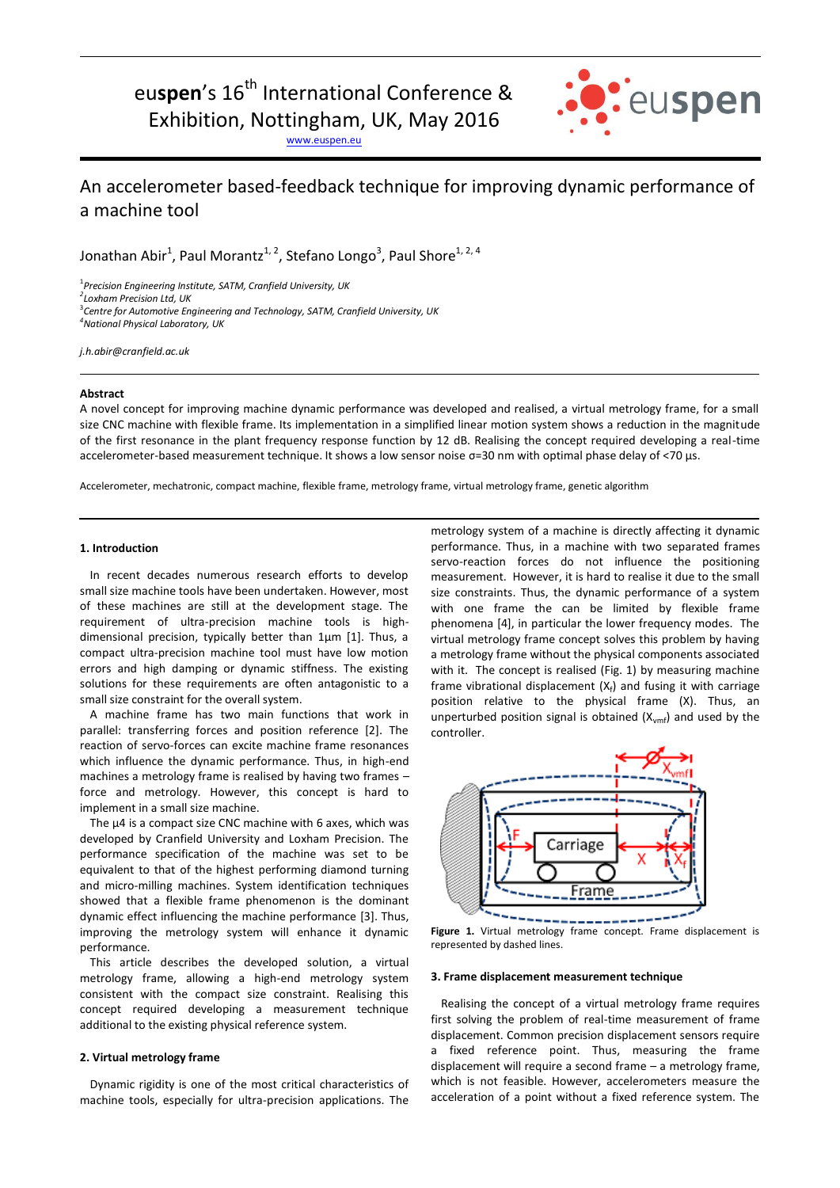# eu**spen**'s 16<sup>th</sup> International Conference &

: euspen

Exhibition, Nottingham, UK, May 2016

[www.euspen.eu](http://www.euspen.eu/)

# An accelerometer based-feedback technique for improving dynamic performance of a machine tool

Jonathan Abir<sup>1</sup>, Paul Morantz<sup>1, 2</sup>, Stefano Longo<sup>3</sup>, Paul Shore<sup>1, 2, 4</sup>

1 *Precision Engineering Institute, SATM, Cranfield University, UK*

*2 Loxham Precision Ltd, UK*

3 *Centre for Automotive Engineering and Technology, SATM, Cranfield University, UK*

*<sup>4</sup>National Physical Laboratory, UK*

*j.h.abir@cranfield.ac.uk*

## **Abstract**

A novel concept for improving machine dynamic performance was developed and realised, a virtual metrology frame, for a small size CNC machine with flexible frame. Its implementation in a simplified linear motion system shows a reduction in the magnitude of the first resonance in the plant frequency response function by 12 dB. Realising the concept required developing a real-time accelerometer-based measurement technique. It shows a low sensor noise σ=30 nm with optimal phase delay of <70 µs.

Accelerometer, mechatronic, compact machine, flexible frame, metrology frame, virtual metrology frame, genetic algorithm

### **1. Introduction**

In recent decades numerous research efforts to develop small size machine tools have been undertaken. However, most of these machines are still at the development stage. The requirement of ultra-precision machine tools is highdimensional precision, typically better than 1µm [1]. Thus, a compact ultra-precision machine tool must have low motion errors and high damping or dynamic stiffness. The existing solutions for these requirements are often antagonistic to a small size constraint for the overall system.

A machine frame has two main functions that work in parallel: transferring forces and position reference [2]. The reaction of servo-forces can excite machine frame resonances which influence the dynamic performance. Thus, in high-end machines a metrology frame is realised by having two frames – force and metrology. However, this concept is hard to implement in a small size machine.

The µ4 is a compact size CNC machine with 6 axes, which was developed by Cranfield University and Loxham Precision. The performance specification of the machine was set to be equivalent to that of the highest performing diamond turning and micro-milling machines. System identification techniques showed that a flexible frame phenomenon is the dominant dynamic effect influencing the machine performance [3]. Thus, improving the metrology system will enhance it dynamic performance.

This article describes the developed solution, a virtual metrology frame, allowing a high-end metrology system consistent with the compact size constraint. Realising this concept required developing a measurement technique additional to the existing physical reference system.

#### **2. Virtual metrology frame**

Dynamic rigidity is one of the most critical characteristics of machine tools, especially for ultra-precision applications. The metrology system of a machine is directly affecting it dynamic performance. Thus, in a machine with two separated frames servo-reaction forces do not influence the positioning measurement. However, it is hard to realise it due to the small size constraints. Thus, the dynamic performance of a system with one frame the can be limited by flexible frame phenomena [4], in particular the lower frequency modes. The virtual metrology frame concept solves this problem by having a metrology frame without the physical components associated with it. The concept is realised (Fig. 1) by measuring machine frame vibrational displacement  $(X_f)$  and fusing it with carriage position relative to the physical frame (X). Thus, an unperturbed position signal is obtained  $(X_{vmf})$  and used by the controller.



**Figure 1.** Virtual metrology frame concept. Frame displacement is represented by dashed lines.

#### **3. Frame displacement measurement technique**

Realising the concept of a virtual metrology frame requires first solving the problem of real-time measurement of frame displacement. Common precision displacement sensors require a fixed reference point. Thus, measuring the frame displacement will require a second frame – a metrology frame, which is not feasible. However, accelerometers measure the acceleration of a point without a fixed reference system. The